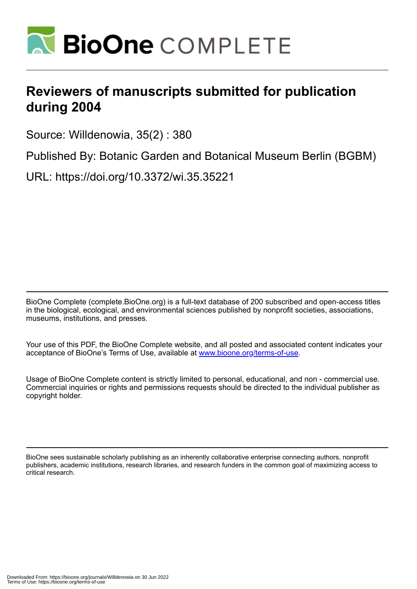

## **Reviewers of manuscripts submitted for publication during 2004**

Source: Willdenowia, 35(2) : 380

Published By: Botanic Garden and Botanical Museum Berlin (BGBM)

URL: https://doi.org/10.3372/wi.35.35221

BioOne Complete (complete.BioOne.org) is a full-text database of 200 subscribed and open-access titles in the biological, ecological, and environmental sciences published by nonprofit societies, associations, museums, institutions, and presses.

Your use of this PDF, the BioOne Complete website, and all posted and associated content indicates your acceptance of BioOne's Terms of Use, available at www.bioone.org/terms-of-use.

Usage of BioOne Complete content is strictly limited to personal, educational, and non - commercial use. Commercial inquiries or rights and permissions requests should be directed to the individual publisher as copyright holder.

BioOne sees sustainable scholarly publishing as an inherently collaborative enterprise connecting authors, nonprofit publishers, academic institutions, research libraries, and research funders in the common goal of maximizing access to critical research.